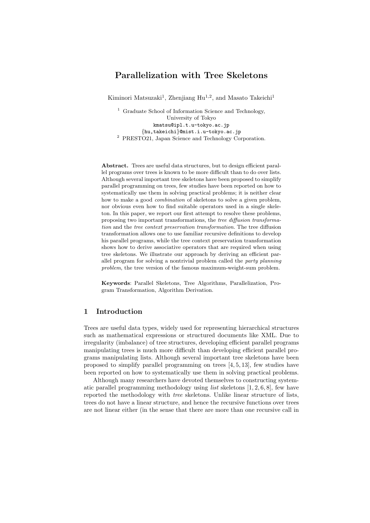# Parallelization with Tree Skeletons

Kiminori Matsuzaki<sup>1</sup>, Zhenjiang Hu<sup>1,2</sup>, and Masato Takeichi<sup>1</sup>

<sup>1</sup> Graduate School of Information Science and Technology, University of Tokyo kmatsu@ipl.t.u-tokyo.ac.jp {hu,takeichi}@mist.i.u-tokyo.ac.jp <sup>2</sup> PRESTO21, Japan Science and Technology Corporation.

Abstract. Trees are useful data structures, but to design efficient parallel programs over trees is known to be more difficult than to do over lists. Although several important tree skeletons have been proposed to simplify parallel programming on trees, few studies have been reported on how to systematically use them in solving practical problems; it is neither clear how to make a good combination of skeletons to solve a given problem, nor obvious even how to find suitable operators used in a single skeleton. In this paper, we report our first attempt to resolve these problems, proposing two important transformations, the tree diffusion transformation and the tree context preservation transformation. The tree diffusion transformation allows one to use familiar recursive definitions to develop his parallel programs, while the tree context preservation transformation shows how to derive associative operators that are required when using tree skeletons. We illustrate our approach by deriving an efficient parallel program for solving a nontrivial problem called the party planning problem, the tree version of the famous maximum-weight-sum problem.

Keywords: Parallel Skeletons, Tree Algorithms, Parallelization, Program Transformation, Algorithm Derivation.

# 1 Introduction

Trees are useful data types, widely used for representing hierarchical structures such as mathematical expressions or structured documents like XML. Due to irregularity (imbalance) of tree structures, developing efficient parallel programs manipulating trees is much more difficult than developing efficient parallel programs manipulating lists. Although several important tree skeletons have been proposed to simplify parallel programming on trees [4, 5, 13], few studies have been reported on how to systematically use them in solving practical problems.

Although many researchers have devoted themselves to constructing systematic parallel programming methodology using list skeletons [1, 2, 6, 8], few have reported the methodology with tree skeletons. Unlike linear structure of lists, trees do not have a linear structure, and hence the recursive functions over trees are not linear either (in the sense that there are more than one recursive call in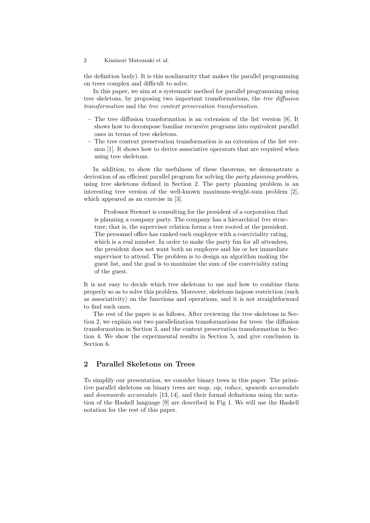the definition body). It is this nonlinearity that makes the parallel programming on trees complex and difficult to solve.

In this paper, we aim at a systematic method for parallel programming using tree skeletons, by proposing two important transformations, the tree diffusion transformation and the tree context preservation transformation.

- The tree diffusion transformation is an extension of the list version [8]. It shows how to decompose familiar recursive programs into equivalent parallel ones in terms of tree skeletons.
- The tree context preservation transformation is an extension of the list version [1]. It shows how to derive associative operators that are required when using tree skeletons.

In addition, to show the usefulness of these theorems, we demonstrate a derivation of an efficient parallel program for solving the party planning problem, using tree skeletons defined in Section 2. The party planning problem is an interesting tree version of the well-known maximum-weight-sum problem [2], which appeared as an exercise in [3].

Professor Stewart is consulting for the president of a corporation that is planning a company party. The company has a hierarchical tree structure; that is, the supervisor relation forms a tree rooted at the president. The personnel office has ranked each employee with a conviviality rating, which is a real number. In order to make the party fun for all attendees, the president does not want both an employee and his or her immediate supervisor to attend. The problem is to design an algorithm making the guest list, and the goal is to maximize the sum of the conviviality rating of the guest.

It is not easy to decide which tree skeletons to use and how to combine them properly so as to solve this problem. Moreover, skeletons impose restriction (such as associativity) on the functions and operations, and it is not straightforward to find such ones.

The rest of the paper is as follows. After reviewing the tree skeletons in Section 2, we explain our two parallelization transformations for trees: the diffusion transformation in Section 3, and the context preservation transformation in Section 4. We show the experimental results in Section 5, and give conclusion in Section 6.

# 2 Parallel Skeletons on Trees

To simplify our presentation, we consider binary trees in this paper. The primitive parallel skeletons on binary trees are map, zip, reduce, upwards accumulate and downwards accumulate [13, 14], and their formal definitions using the notation of the Haskell language [9] are described in Fig 1. We will use the Haskell notation for the rest of this paper.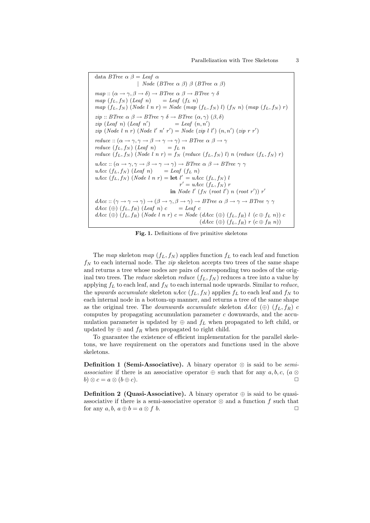data BTree  $\alpha \beta =$  Leaf  $\alpha$ | Node (BTree  $\alpha$  β) β (BTree  $\alpha$  β)  $map :: (\alpha \rightarrow \gamma, \beta \rightarrow \delta) \rightarrow BTree \alpha \beta \rightarrow BTree \gamma \delta$  $map (f_L, f_N) (Leaf n) = Leaf (f_L n)$ map  $(f_L, f_N)$  (Node l n r) = Node (map  $(f_L, f_N)$  l)  $(f_N n)$  (map  $(f_L, f_N)$  r)  $zip :: BTree \alpha \beta \rightarrow BTree \gamma \delta \rightarrow BTree (\alpha, \gamma) (\beta, \delta)$  $zip (Leaf n) (Leaf n')$ )  $=$  Leaf  $(n, n')$  $zip (Node l n r) (Node l' n' r') = Node (zip l l') (n, n') (zip r r')$ reduce  $:: (\alpha \rightarrow \gamma, \gamma \rightarrow \beta \rightarrow \gamma \rightarrow \gamma) \rightarrow B$ Tree  $\alpha \beta \rightarrow \gamma$ reduce  $(f_L, f_N)$  (Leaf n) =  $f_L$  n reduce  $(f_L, f_N)$  (Node l n r) =  $f_N$  (reduce  $(f_L, f_N)$  l) n (reduce  $(f_L, f_N)$  r)  $uAcc :: (\alpha \to \gamma, \gamma \to \beta \to \gamma \to \gamma) \to BTree \alpha \beta \to BTree \gamma \gamma$  $uAcc (f<sub>L</sub>, f<sub>N</sub>) (Leaf n) = Leaf (f<sub>L</sub> n)$  $uAcc (f<sub>L</sub>, f<sub>N</sub>) (Node l n r) = let l' = uAcc (f<sub>L</sub>, f<sub>N</sub>) l$  $r' = uAcc (f<sub>L</sub>, f<sub>N</sub>) r$ in Node l'  $(f_N \; (root \; l') \; n \; (root \; r')) \; r'$  $dAcc :: (\gamma \to \gamma \to \gamma) \to (\beta \to \gamma, \beta \to \gamma) \to BTree \alpha \beta \to \gamma \to BTree \gamma \gamma$ dAcc (⊕)  $(f_L, f_R)$  (Leaf n)  $c =$  Leaf c dAcc  $(\oplus)$   $(f_L, f_R)$  (Node l n r)  $c = Node$  (dAcc  $(\oplus)$   $(f_L, f_R)$  l  $(c \oplus f_L n)$ ) c  $(dAcc \oplus) (f_L, f_R) r (c \oplus f_R n))$ 

Fig. 1. Definitions of five primitive skeletons

The map skeleton map  $(f_L, f_N)$  applies function  $f_L$  to each leaf and function  $f_N$  to each internal node. The *zip* skeleton accepts two trees of the same shape and returns a tree whose nodes are pairs of corresponding two nodes of the original two trees. The *reduce* skeleton *reduce*  $(f_L, f_N)$  reduces a tree into a value by applying  $f_L$  to each leaf, and  $f_N$  to each internal node upwards. Similar to reduce, the upwards accumulate skeleton uAcc  $(f_L, f_N)$  applies  $f_L$  to each leaf and  $f_N$  to each internal node in a bottom-up manner, and returns a tree of the same shape as the original tree. The *downwards accumulate* skeleton  $dAcc$  ( $\oplus$ )  $(f_L, f_R)$  c computes by propagating accumulation parameter  $c$  downwards, and the accumulation parameter is updated by  $\oplus$  and  $f<sub>L</sub>$  when propagated to left child, or updated by  $\oplus$  and  $f_R$  when propagated to right child.

To guarantee the existence of efficient implementation for the parallel skeletons, we have requirement on the operators and functions used in the above skeletons.

**Definition 1 (Semi-Associative).** A binary operator ⊗ is said to be *semi*associative if there is an associative operator  $\oplus$  such that for any  $a, b, c, (a \otimes b)$  $b) \otimes c = a \otimes (b \oplus c).$ 

**Definition 2 (Quasi-Associative).** A binary operator  $\oplus$  is said to be quasiassociative if there is a semi-associative operator  $\otimes$  and a function f such that for any  $a, b, a \oplus b = a \otimes f b$ .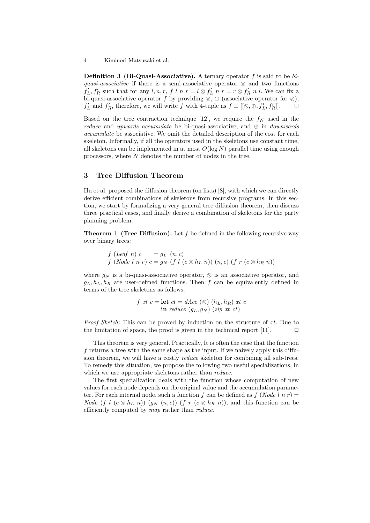**Definition 3 (Bi-Quasi-Associative).** A ternary operator f is said to be  $bi$ quasi-associative if there is a semi-associative operator  $\otimes$  and two functions  $f'_{L}, f'_{R}$  such that for any  $l, n, r, f l n r = l \otimes f'_{L} n r = r \otimes f'_{R} n l$ . We can fix a bi-quasi-associative operator f by providing  $\otimes$ , ⊕ (associative operator for  $\otimes$ ),  $f'_{L}$  and  $f'_{R}$ , therefore, we will write f with 4-tuple as  $f \equiv [[\otimes, \oplus, f'_{L}, f'_{R}]]$ .

Based on the tree contraction technique [12], we require the  $f_N$  used in the reduce and upwards accumulate be bi-quasi-associative, and  $\oplus$  in downwards accumulate be associative. We omit the detailed description of the cost for each skeleton. Informally, if all the operators used in the skeletons use constant time, all skeletons can be implemented in at most  $O(\log N)$  parallel time using enough processors, where N denotes the number of nodes in the tree.

#### 3 Tree Diffusion Theorem

Hu et al. proposed the diffusion theorem (on lists) [8], with which we can directly derive efficient combinations of skeletons from recursive programs. In this section, we start by formalizing a very general tree diffusion theorem, then discuss three practical cases, and finally derive a combination of skeletons for the party planning problem.

**Theorem 1 (Tree Diffusion).** Let  $f$  be defined in the following recursive way over binary trees:

$$
f (Leaf\ n) c = g_L (n, c)
$$
  

$$
f (Node l n r) c = g_N (f l (c \otimes h_L n)) (n, c) (f r (c \otimes h_R n))
$$

where  $g_N$  is a bi-quasi-associative operator,  $\otimes$  is an associative operator, and  $g_L, h_L, h_R$  are user-defined functions. Then f can be equivalently defined in terms of the tree skeletons as follows.

$$
f \; xt \; c = \textbf{let} \; ct = dAcc \; (\otimes) \; (h_L, h_R) \; xt \; c
$$
  
in reduce  $(g_L, g_N)$  (zip xt ct)

Proof Sketch: This can be proved by induction on the structure of xt. Due to the limitation of space, the proof is given in the technical report [11].  $\Box$ 

This theorem is very general. Practically, It is often the case that the function f returns a tree with the same shape as the input. If we naively apply this diffusion theorem, we will have a costly reduce skeleton for combining all sub-trees. To remedy this situation, we propose the following two useful specializations, in which we use appropriate skeletons rather than *reduce*.

The first specialization deals with the function whose computation of new values for each node depends on the original value and the accumulation parameter. For each internal node, such a function f can be defined as f (Node l n r) = *Node* (f l  $(c \otimes h_L n)$ )  $(g_N (n, c))$  (f r  $(c \otimes h_R n)$ ), and this function can be efficiently computed by map rather than reduce.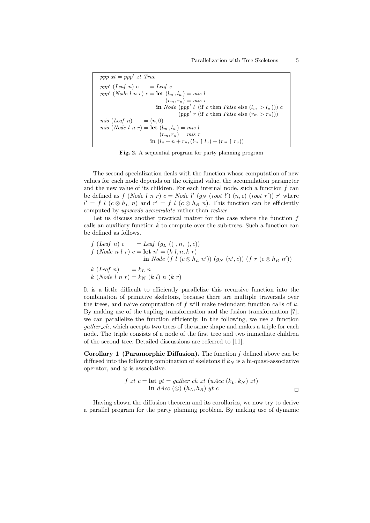```
ppp xt = ppp' xt Trueppp' (Leaf n) c = Leaf cppp' (Node l n r) c = \text{let}(l_m, l_u) = mis(r_m, r_u) = mis rin Node (ppp' l (if c then False else (l_m > l_u))) c
                                  (ppp' r (if c then False else (r_m > r_u)))
mis (Leaf n) = (n, 0)mis (Node l n r) = let (l_m, l_u) = mis l
                         (r_m, r_u) = mis r
                     in (l_u + n + r_u, (l_m \uparrow l_u) + (r_m \uparrow r_u))
```
Fig. 2. A sequential program for party planning program

The second specialization deals with the function whose computation of new values for each node depends on the original value, the accumulation parameter and the new value of its children. For each internal node, such a function  $f$  can be defined as  $f(Node \, l \, n \, r) \, c = Node \, l' \, (g_N \, (root \, l') \, (n, c) \, (root \, r')) \, r'$  where  $l' = f l (c \otimes h_L n)$  and  $r' = f l (c \otimes h_R n)$ . This function can be efficiently computed by upwards accumulate rather than reduce.

Let us discuss another practical matter for the case where the function  $f$ calls an auxiliary function  $k$  to compute over the sub-trees. Such a function can be defined as follows.

$$
f (Leaf\ n) c = Leaf(gL ((-, n, -, c))\nf (Node\ n l\ r) c = let n' = (k l, n, k\ r)\nin Node (f l (c $\otimes hL$  n')) (g<sub>N</sub> (n', c)) (f r (c $\otimes hR$  n'))  
\nk (Leaf\ n) = k<sub>L</sub> n  
\nk (Node l n r) = k<sub>N</sub> (k l) n (k r)
$$

It is a little difficult to efficiently parallelize this recursive function into the combination of primitive skeletons, because there are multiple traversals over the trees, and naive computation of f will make redundant function calls of  $k$ . By making use of the tupling transformation and the fusion transformation [7], we can parallelize the function efficiently. In the following, we use a function  $gather ch, which accepts two trees of the same shape and makes a triple for each$ node. The triple consists of a node of the first tree and two immediate children of the second tree. Detailed discussions are referred to [11].

**Corollary 1 (Paramorphic Diffusion).** The function  $f$  defined above can be diffused into the following combination of skeletons if  $k_N$  is a bi-quasi-associative operator, and ⊗ is associative.

$$
f \; xt \; c = \text{let } yt = gather\_ch \; xt \; (uAcc \; (k_L, k_N) \; xt)
$$
  
in \; dAcc \; (\otimes) \; (h\_L, h\_R) \; yt \; c

Having shown the diffusion theorem and its corollaries, we now try to derive a parallel program for the party planning problem. By making use of dynamic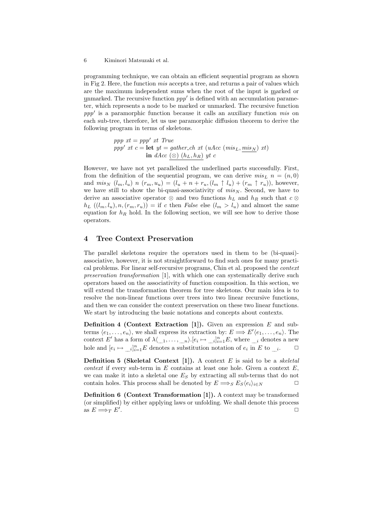programming technique, we can obtain an efficient sequential program as shown in Fig 2. Here, the function *mis* accepts a tree, and returns a pair of values which are the maximum independent sums when the root of the input is marked or unmarked. The recursive function  $ppp'$  is defined with an accumulation parameter, which represents a node to be marked or unmarked. The recursive function  $ppp'$  is a paramorphic function because it calls an auxiliary function mis on each sub-tree, therefore, let us use paramorphic diffusion theorem to derive the following program in terms of skeletons.

> $ppp$   $xt = ppp'$   $xt$   $True$ ppp' xt  $c = \text{let } yt = gather\_ch xt \ (uAcc \ (mis_L, mis_N) \ xt)$ in dAcc (⊗)  $(h_L, h_R)$  yt c

However, we have not yet parallelized the underlined parts successfully. First, from the definition of the sequential program, we can derive  $mis<sub>L</sub>$   $n = (n, 0)$ and  $mis_N(l_m, l_u)$   $n(r_m, u_u) = (l_u + n + r_u, (l_m \uparrow l_u) + (r_m \uparrow r_u)),$  however, we have still to show the bi-quasi-associativity of  $mis_N$ . Second, we have to derive an associative operator ⊗ and two functions  $h_L$  and  $h_R$  such that  $c \otimes$  $h_L$   $(l_m, l_u), n, (r_m, r_u)$  = if c then False else  $(l_m > l_u)$  and almost the same equation for  $h_R$  hold. In the following section, we will see how to derive those operators.

### 4 Tree Context Preservation

The parallel skeletons require the operators used in them to be (bi-quasi) associative, however, it is not straightforward to find such ones for many practical problems. For linear self-recursive programs, Chin et al. proposed the context preservation transformation [1], with which one can systematically derive such operators based on the associativity of function composition. In this section, we will extend the transformation theorem for tree skeletons. Our main idea is to resolve the non-linear functions over trees into two linear recursive functions, and then we can consider the context preservation on these two linear functions. We start by introducing the basic notations and concepts about contexts.

**Definition 4 (Context Extraction [1]).** Given an expression  $E$  and subterms  $\langle e_1, \ldots, e_n \rangle$ , we shall express its extraction by:  $E \Longrightarrow E' \langle e_1, \ldots, e_n \rangle$ . The context E' has a form of  $\lambda(\_1, \ldots, \_n)$ .  $[e_i \mapsto \_i]_{i=1}^n E$ , where  $\_i$  denotes a new hole and  $[e_i \mapsto \text{I}_{i=1}^n E$  denotes a substitution notation of  $e_i$  in E to  $\text{I}_{i=1}$  $\Box$ 

**Definition 5 (Skeletal Context [1]).** A context  $E$  is said to be a *skeletal* context if every sub-term in  $E$  contains at least one hole. Given a context  $E$ , we can make it into a skeletal one  $E<sub>S</sub>$  by extracting all sub-terms that do not contain holes. This process shall be denoted by  $E \Longrightarrow_S E_S \langle e_i \rangle_{i \in N}$ 

Definition 6 (Context Transformation [1]). A context may be transformed (or simplified) by either applying laws or unfolding. We shall denote this process as  $E \Longrightarrow_T E'$ . . ✷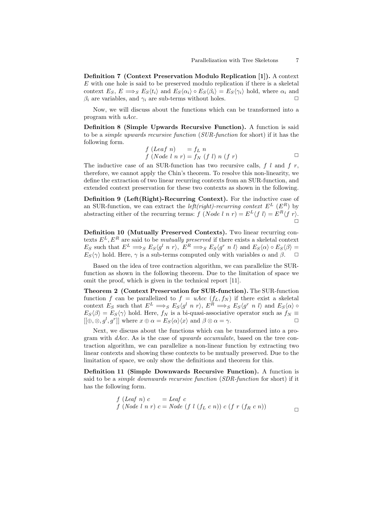Definition 7 (Context Preservation Modulo Replication [1]). A context  $E$  with one hole is said to be preserved modulo replication if there is a skeletal context  $E_S$ ,  $E \Longrightarrow_S E_S(t_i)$  and  $E_S(\alpha_i) \circ E_S(\beta_i) = E_S(\gamma_i)$  hold, where  $\alpha_i$  and  $\beta_i$  are variables, and  $\gamma_i$  are sub-terms without holes.  $\Box$ 

Now, we will discuss about the functions which can be transformed into a program with uAcc.

Definition 8 (Simple Upwards Recursive Function). A function is said to be a simple upwards recursive function (SUR-function for short) if it has the following form.

$$
f (Leaf n) = fL n\n f (Node l n r) = fN (f l) n (f r)
$$

The inductive case of an SUR-function has two recursive calls,  $f l$  and  $f r$ , therefore, we cannot apply the Chin's theorem. To resolve this non-linearity, we define the extraction of two linear recurring contexts from an SUR-function, and extended context preservation for these two contexts as shown in the following.

Definition 9 (Left(Right)-Recurring Context). For the inductive case of an SUR-function, we can extract the *left(right)-recurring context*  $E^L$  ( $E^R$ ) by abstracting either of the recurring terms: f (Node l n r) =  $E^L\langle f \rangle = E^R\langle f \rangle$ .  $\Box$ 

Definition 10 (Mutually Preserved Contexts). Two linear recurring contexts  $E^L, E^R$  are said to be *mutually preserved* if there exists a skeletal context  $E_S$  such that  $E^L \Longrightarrow_S E_S \langle g^l \ n \ r \rangle$ ,  $E^R \Longrightarrow_S E_S \langle g^r \ n \ l \rangle$  and  $E_S \langle \alpha \rangle \circ E_S \langle \beta \rangle =$  $E_S(\gamma)$  hold. Here,  $\gamma$  is a sub-terms computed only with variables  $\alpha$  and  $\beta$ .  $\Box$ 

Based on the idea of tree contraction algorithm, we can parallelize the SURfunction as shown in the following theorem. Due to the limitation of space we omit the proof, which is given in the technical report [11].

Theorem 2 (Context Preservation for SUR-function). The SUR-function function f can be parallelized to  $f = uAcc$   $(f_L, f_N)$  if there exist a skeletal context  $E_S$  such that  $E^L \Longrightarrow_S E_S \langle g^l \, n \, r \rangle$ ,  $E^R \Longrightarrow_S E_S \langle g^r \, n \, l \rangle$  and  $E_S \langle \alpha \rangle$   $\circ$  $E_S\langle\beta\rangle = E_S\langle\gamma\rangle$  hold. Here,  $f_N$  is a bi-quasi-associative operator such as  $f_N \equiv$  $[[\oplus,\otimes,g^l,g^r]]$  where  $x \oplus \alpha = E_S\langle \alpha \rangle \langle x \rangle$  and  $\beta \otimes \alpha = \gamma$ .

Next, we discuss about the functions which can be transformed into a program with  $dAcc.$  As is the case of upwards accumulate, based on the tree contraction algorithm, we can parallelize a non-linear function by extracting two linear contexts and showing these contexts to be mutually preserved. Due to the limitation of space, we only show the definitions and theorem for this.

Definition 11 (Simple Downwards Recursive Function). A function is said to be a *simple downwards recursive function (SDR-function* for short) if it has the following form.

$$
f (Leaf\ n) c = leaf\ c
$$
  

$$
f (Node\ l\ n\ r) c = Node (f\ l\ (f_L\ c\ n))\ c\ (f\ r\ (f_R\ c\ n))
$$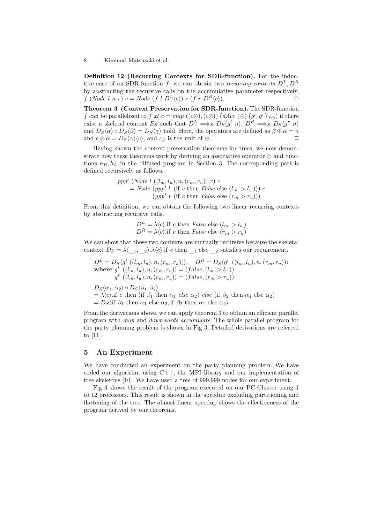Definition 12 (Recurring Contexts for SDR-function). For the inductive case of an SDR-function f, we can obtain two recurring contexts  $D^L, D^R$ by abstracting the recursive calls on the accumulative parameter respectively, f (Node l n r)  $c = Node$  (f l  $D^{L}(c)$ ) c (f r  $D^{R}(c)$ ).

Theorem 3 (Context Preservation for SDR-function). The SDR-function f can be parallelized to f xt  $c = map ((c \otimes), (c \otimes)) (dAcc (\oplus) (g^l, g^r) \iota_{\oplus})$  if there exist a skeletal context  $E_S$  such that  $D^L \implies S \cup S \langle g^l \, n \rangle$ ,  $D^R \implies S \cup S \langle g^r \, n \rangle$ and  $D_S\langle \alpha \rangle \circ D_S\langle \beta \rangle = D_S\langle \gamma \rangle$  hold. Here, the operators are defined as  $\beta \oplus \alpha = \gamma$ and  $c \otimes \alpha = D_s \langle \alpha \rangle \langle c \rangle$ , and  $\iota_{\oplus}$  is the unit of  $\oplus$ .

Having shown the context preservation theorems for trees, we now demonstrate how these theorems work by deriving an associative operator  $\otimes$  and functions  $h_R$ ,  $h_L$  in the diffused program in Section 3. The corresponding part is defined recursively as follows.

$$
ppp' (Node l ((l_m, l_u), n, (r_m, r_u)) r) c
$$
  
= Node (ppp' l (if c then False else (l<sub>m</sub> > l<sub>u</sub>))) c  
(ppp' r (if c then False else (r<sub>m</sub> > r<sub>u</sub>)))

From this definition, we can obtain the following two linear recurring contexts by abstracting recursive calls.

$$
D^{L} = \lambda \langle c \rangle
$$
 if c then *False* else  $(l_m > l_u)$   

$$
D^{R} = \lambda \langle c \rangle
$$
 if c then *False* else  $(r_m > r_u)$ 

We can show that these two contexts are mutually recursive because the skeletal context  $D_S = \lambda_{(-1, -2)} \lambda \langle c \rangle$  if c then  $_{-1}$  else  $_{-2}$  satisfies our requirement.

$$
D^{L} = D_{S} \langle g^{l} \left( (l_{m}, l_{u}), n, (r_{m}, r_{u}) \right) \rangle, \quad D^{R} = D_{S} \langle g^{r} \left( (l_{m}, l_{u}), n, (r_{m}, r_{u}) \right) \rangle
$$
  
\nwhere  $g^{l} \left( (l_{m}, l_{u}), n, (r_{m}, r_{u}) \right) = (false, (l_{m} > l_{u}))$   
\n $g^{r} \left( (l_{m}, l_{u}), n, (r_{m}, r_{u}) \right) = (false, (r_{m} > r_{u}))$   
\n $D_{S} \langle \alpha_{1}, \alpha_{2} \rangle \circ D_{S} \langle \beta_{1}, \beta_{2} \rangle$   
\n $= \lambda \langle c \rangle$  if *c* then (if  $\beta_{1}$  then  $\alpha_{1}$  else  $\alpha_{2}$ ) else (if  $\beta_{2}$  then  $\alpha_{1}$  else  $\alpha_{2}$ )  
\n $= D_{S} \langle$  if  $\beta_{1}$  then  $\alpha_{1}$  else  $\alpha_{2}$ , if  $\beta_{2}$  then  $\alpha_{1}$  else  $\alpha_{2}$ 

From the derivations above, we can apply theorem 3 to obtain an efficient parallel program with map and downwards accumulate. The whole parallel program for the party planning problem is shown in Fig 3. Detailed derivations are referred to [11].

#### 5 An Experiment

We have conducted an experiment on the party planning problem. We have coded our algorithm using  $C_{++}$ , the MPI library and our implementation of tree skeletons [10]. We have used a tree of 999,999 nodes for our experiment.

Fig 4 shows the result of the program executed on our PC-Cluster using 1 to 12 processors. This result is shown in the speedup excluding partitioning and flattening of the tree. The almost linear speedup shows the effectiveness of the program derived by our theorems.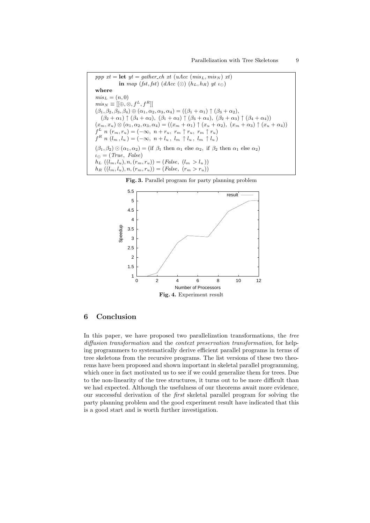ppp  $xt = \text{let } yt = gather\_ch xt \ (uAcc \ (mis_L, mis_N) \ xt)$ in map (fst, fst) (dAcc  $(\odot)$   $(h_L, h_R)$  yt  $\iota_{\odot}$ ) where  $mis_L = (n, 0)$  $mis_N \equiv [[\oplus,\otimes,f^L,f^R]]$  $(\beta_1, \beta_2, \beta_3, \beta_4) \oplus (\alpha_1, \alpha_2, \alpha_3, \alpha_4) = ((\beta_1 + \alpha_1) \uparrow (\beta_3 + \alpha_2),$  $(\beta_2 + \alpha_1) \uparrow (\beta_4 + \alpha_2), (\beta_1 + \alpha_3) \uparrow (\beta_3 + \alpha_4), (\beta_2 + \alpha_3) \uparrow (\beta_4 + \alpha_4))$  $(x_m, x_u) \otimes (\alpha_1, \alpha_2, \alpha_3, \alpha_4) = ((x_m + \alpha_1) \uparrow (x_u + \alpha_2), (x_m + \alpha_3) \uparrow (x_u + \alpha_4))$  $f^L$  n  $(r_m, r_u) = (-\infty, n + r_u, r_m \uparrow r_u, r_m \uparrow r_u)$  $f^R n (l_m, l_u) = (-\infty, n + l_u, l_m \uparrow l_u, l_m \uparrow l_u)$  $(\beta_1, \beta_2) \odot (\alpha_1, \alpha_2) = (\text{if } \beta_1 \text{ then } \alpha_1 \text{ else } \alpha_2, \text{ if } \beta_2 \text{ then } \alpha_1 \text{ else } \alpha_2)$  $\iota_{\odot} = (\text{True}, \text{ False})$  $h_L$   $((l_m, l_u), n, (r_m, r_u)) = (False, (l_m > l_u))$  $h_R((l_m, l_u), n, (r_m, r_u)) = (False, (r_m > r_u))$ 





## 6 Conclusion

In this paper, we have proposed two parallelization transformations, the tree diffusion transformation and the context preservation transformation, for helping programmers to systematically derive efficient parallel programs in terms of tree skeletons from the recursive programs. The list versions of these two theorems have been proposed and shown important in skeletal parallel programming, which once in fact motivated us to see if we could generalize them for trees. Due to the non-linearity of the tree structures, it turns out to be more difficult than we had expected. Although the usefulness of our theorems await more evidence, our successful derivation of the first skeletal parallel program for solving the party planning problem and the good experiment result have indicated that this is a good start and is worth further investigation.